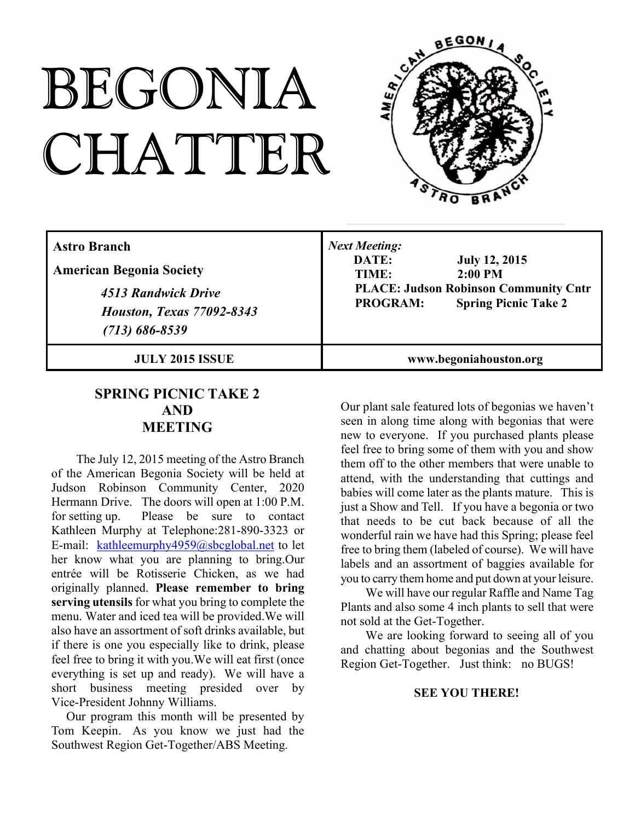# BEGONIA CHATTER



| <b>Astro Branch</b><br><b>American Begonia Society</b><br>4513 Randwick Drive<br><b>Houston, Texas 77092-8343</b><br>$(713) 686 - 8539$ | <b>Next Meeting:</b><br>DATE:<br><b>July 12, 2015</b><br>$2:00$ PM<br>TIME:<br><b>PLACE: Judson Robinson Community Cntr</b><br><b>Spring Picnic Take 2</b><br><b>PROGRAM:</b> |
|-----------------------------------------------------------------------------------------------------------------------------------------|-------------------------------------------------------------------------------------------------------------------------------------------------------------------------------|
| <b>JULY 2015 ISSUE</b>                                                                                                                  | www.begoniahouston.org                                                                                                                                                        |

### **SPRING PICNIC TAKE 2 AND MEETING**

The July 12, 2015 meeting of the Astro Branch of the American Begonia Society will be held at Judson Robinson Community Center, 2020 Hermann Drive. The doors will open at 1:00 P.M. for setting up. Please be sure to contact Kathleen Murphy at Telephone:281-890-3323 or E-mail: kathleemurphy4959@sbcglobal.net to let her know what you are planning to bring.Our entrée will be Rotisserie Chicken, as we had originally planned. **Please remember to bring serving utensils** for what you bring to complete the menu. Water and iced tea will be provided.We will also have an assortment of soft drinks available, but if there is one you especially like to drink, please feel free to bring it with you.We will eat first (once everything is set up and ready). We will have a short business meeting presided over by Vice-President Johnny Williams.

Our program this month will be presented by Tom Keepin. As you know we just had the Southwest Region Get-Together/ABS Meeting.

Our plant sale featured lots of begonias we haven't seen in along time along with begonias that were new to everyone. If you purchased plants please feel free to bring some of them with you and show them off to the other members that were unable to attend, with the understanding that cuttings and babies will come later as the plants mature. This is just a Show and Tell. If you have a begonia or two that needs to be cut back because of all the wonderful rain we have had this Spring; please feel free to bring them (labeled of course). We will have labels and an assortment of baggies available for you to carry them home and put down at your leisure.

We will have our regular Raffle and Name Tag Plants and also some 4 inch plants to sell that were not sold at the Get-Together.

We are looking forward to seeing all of you and chatting about begonias and the Southwest Region Get-Together. Just think: no BUGS!

#### **SEE YOU THERE!**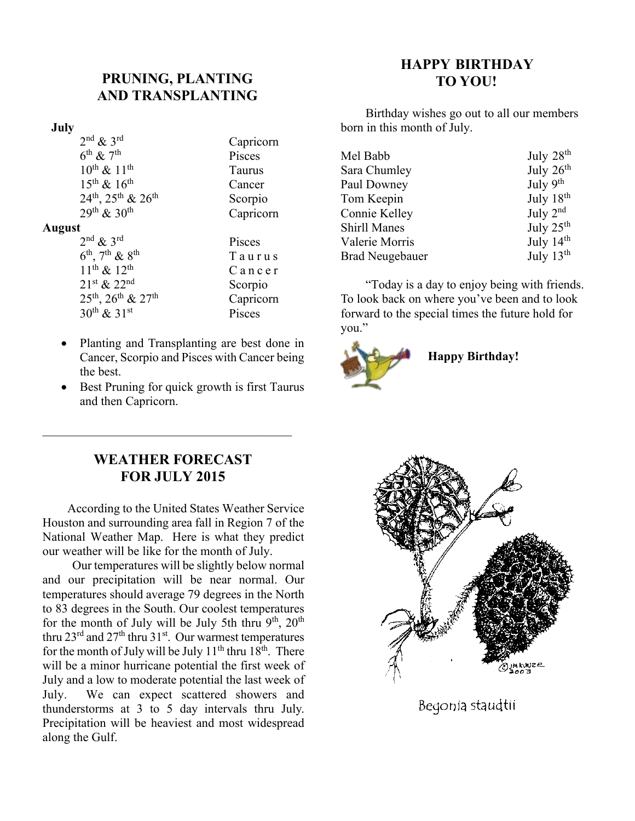## **PRUNING, PLANTING AND TRANSPLANTING**

#### **July**

| $2nd$ & $3rd$                     | Capricorn |
|-----------------------------------|-----------|
| $6^{\text{th}}$ & $7^{\text{th}}$ | Pisces    |
| $10^{th}$ & $11^{th}$             | Taurus    |
| $15^{th}$ & $16^{th}$             | Cancer    |
| $24^{th}$ , $25^{th}$ & $26^{th}$ | Scorpio   |
| $29^{th} & 30^{th}$               | Capricorn |
| <b>August</b>                     |           |
| $2nd$ & $3rd$                     | Pisces    |
| $6^{th}$ , $7^{th}$ & $8^{th}$    | Taurus    |
| لماء ماء المنادية                 |           |

 $11^{\text{th}} \& 12^{\text{th}}$  Cancer  $21^{st}$  &  $22^{nd}$  Scorpio  $25<sup>th</sup>$ ,  $26<sup>th</sup>$  &  $27<sup>th</sup>$  Capricorn  $30<sup>th</sup> \& 31<sup>st</sup>$  Pisces

- · Planting and Transplanting are best done in Cancer, Scorpio and Pisces with Cancer being the best.
- Best Pruning for quick growth is first Taurus and then Capricorn.

## **HAPPY BIRTHDAY TO YOU!**

Birthday wishes go out to all our members born in this month of July.

|                     | July 28 <sup>th</sup> |
|---------------------|-----------------------|
| Mel Babb            |                       |
| Sara Chumley        | July 26 <sup>th</sup> |
| Paul Downey         | July $9th$            |
| Tom Keepin          | July 18 <sup>th</sup> |
| Connie Kelley       | July $2nd$            |
| <b>Shirll Manes</b> | July 25 <sup>th</sup> |
| Valerie Morris      | July 14th             |
| Brad Neugebauer     | July $13th$           |

"Today is a day to enjoy being with friends. To look back on where you've been and to look forward to the special times the future hold for you."



## **WEATHER FORECAST FOR JULY 2015**

 $\overline{\mathcal{L}}$  , and the state of the state of the state of the state of the state of the state of the state of the state of the state of the state of the state of the state of the state of the state of the state of the stat

According to the United States Weather Service Houston and surrounding area fall in Region 7 of the National Weather Map. Here is what they predict our weather will be like for the month of July.

Our temperatures will be slightly below normal and our precipitation will be near normal. Our temperatures should average 79 degrees in the North to 83 degrees in the South. Our coolest temperatures for the month of July will be July 5th thru  $9<sup>th</sup>$ ,  $20<sup>th</sup>$ thru  $23^{\text{rd}}$  and  $27^{\text{th}}$  thru  $31^{\text{st}}$ . Our warmest temperatures for the month of July will be July  $11<sup>th</sup>$  thru  $18<sup>th</sup>$ . There will be a minor hurricane potential the first week of July and a low to moderate potential the last week of July. We can expect scattered showers and thunderstorms at 3 to 5 day intervals thru July. Precipitation will be heaviest and most widespread along the Gulf.



Begonia staudtii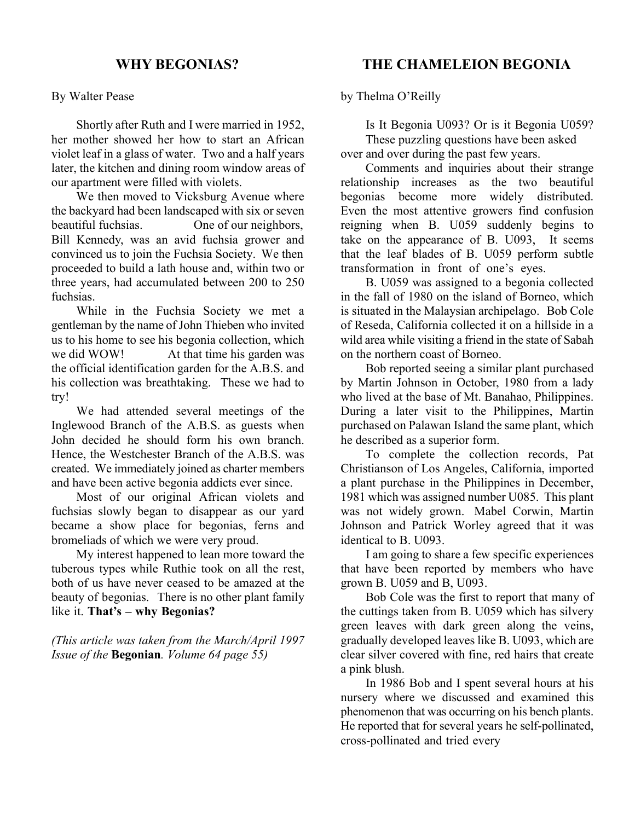#### By Walter Pease

Shortly after Ruth and I were married in 1952, her mother showed her how to start an African violet leaf in a glass of water. Two and a half years later, the kitchen and dining room window areas of our apartment were filled with violets.

We then moved to Vicksburg Avenue where the backyard had been landscaped with six or seven beautiful fuchsias. One of our neighbors, Bill Kennedy, was an avid fuchsia grower and convinced us to join the Fuchsia Society. We then proceeded to build a lath house and, within two or three years, had accumulated between 200 to 250 fuchsias.

While in the Fuchsia Society we met a gentleman by the name of John Thieben who invited us to his home to see his begonia collection, which we did WOW! At that time his garden was the official identification garden for the A.B.S. and his collection was breathtaking. These we had to try!

We had attended several meetings of the Inglewood Branch of the A.B.S. as guests when John decided he should form his own branch. Hence, the Westchester Branch of the A.B.S. was created. We immediately joined as charter members and have been active begonia addicts ever since.

Most of our original African violets and fuchsias slowly began to disappear as our yard became a show place for begonias, ferns and bromeliads of which we were very proud.

My interest happened to lean more toward the tuberous types while Ruthie took on all the rest, both of us have never ceased to be amazed at the beauty of begonias. There is no other plant family like it. **That's – why Begonias?**

*(This article was taken from the March/April 1997 Issue of the* **Begonian***. Volume 64 page 55)*

# **THE CHAMELEION BEGONIA**

by Thelma O'Reilly

Is It Begonia U093? Or is it Begonia U059? These puzzling questions have been asked over and over during the past few years.

Comments and inquiries about their strange relationship increases as the two beautiful begonias become more widely distributed. Even the most attentive growers find confusion reigning when B. U059 suddenly begins to take on the appearance of B. U093, It seems that the leaf blades of B. U059 perform subtle transformation in front of one's eyes.

B. U059 was assigned to a begonia collected in the fall of 1980 on the island of Borneo, which is situated in the Malaysian archipelago. Bob Cole of Reseda, California collected it on a hillside in a wild area while visiting a friend in the state of Sabah on the northern coast of Borneo.

Bob reported seeing a similar plant purchased by Martin Johnson in October, 1980 from a lady who lived at the base of Mt. Banahao, Philippines. During a later visit to the Philippines, Martin purchased on Palawan Island the same plant, which he described as a superior form.

To complete the collection records, Pat Christianson of Los Angeles, California, imported a plant purchase in the Philippines in December, 1981 which was assigned number U085. This plant was not widely grown. Mabel Corwin, Martin Johnson and Patrick Worley agreed that it was identical to B. U093.

I am going to share a few specific experiences that have been reported by members who have grown B. U059 and B, U093.

Bob Cole was the first to report that many of the cuttings taken from B. U059 which has silvery green leaves with dark green along the veins, gradually developed leaves like B. U093, which are clear silver covered with fine, red hairs that create a pink blush.

In 1986 Bob and I spent several hours at his nursery where we discussed and examined this phenomenon that was occurring on his bench plants. He reported that for several years he self-pollinated, cross-pollinated and tried every